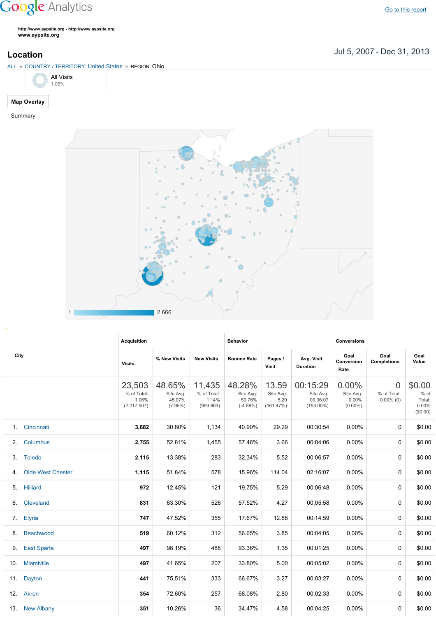## **Google** Analytics

**http://www.aypsite.org http://www.aypsite.org www.aypsite.org**

Jul 5, 2007 Dec 31, 2013 **Location**





|                 |                          | <b>Acquisition</b>                              |                                             |                                              | <b>Behavior</b>                             |                                         |                                                   | <b>Conversions</b>                              |                                         |                                                 |  |
|-----------------|--------------------------|-------------------------------------------------|---------------------------------------------|----------------------------------------------|---------------------------------------------|-----------------------------------------|---------------------------------------------------|-------------------------------------------------|-----------------------------------------|-------------------------------------------------|--|
| City            |                          | <b>Visits</b>                                   | % New Visits                                | <b>New Visits</b>                            | <b>Bounce Rate</b>                          | Pages /<br>Visit                        | Avg. Visit<br><b>Duration</b>                     | Goal<br>Conversion<br>Rate                      | Goal<br><b>Completions</b>              | Goal<br>Value                                   |  |
|                 |                          | 23,503<br>% of Total:<br>1.06%<br>(2, 217, 907) | 48.65%<br>Site Avg:<br>45.07%<br>$(7.95\%)$ | 11,435<br>% of Total:<br>1.14%<br>(999, 663) | 48.28%<br>Site Avg:<br>50.76%<br>$(-4.88%)$ | 13.59<br>Site Avg:<br>5.20<br>(161.47%) | 00:15:29<br>Site Avg:<br>00:06:07<br>$(153.00\%)$ | $0.00\%$<br>Site Avg:<br>$0.00\%$<br>$(0.00\%)$ | $\Omega$<br>% of Total:<br>$0.00\%$ (0) | \$0.00<br>$%$ of<br>Total:<br>0.00%<br>(\$0.00) |  |
|                 | 1. Cincinnati            | 3,682                                           | 30.80%                                      | 1,134                                        | 40.90%                                      | 29.29                                   | 00:30:54                                          | 0.00%                                           | 0                                       | \$0.00                                          |  |
| 2 <sup>1</sup>  | Columbus                 | 2,755                                           | 52.81%                                      | 1,455                                        | 57.46%                                      | 3.66                                    | 00:04:06                                          | 0.00%                                           | 0                                       | \$0.00                                          |  |
|                 | 3. Toledo                | 2,115                                           | 13.38%                                      | 283                                          | 32.34%                                      | 5.52                                    | 00:06:57                                          | 0.00%                                           | 0                                       | \$0.00                                          |  |
| 4.              | <b>Olde West Chester</b> | 1,115                                           | 51.84%                                      | 578                                          | 15.96%                                      | 114.04                                  | 02:16:07                                          | 0.00%                                           | 0                                       | \$0.00                                          |  |
| 5.              | <b>Hilliard</b>          | 972                                             | 12.45%                                      | 121                                          | 19.75%                                      | 5.29                                    | 00:06:48                                          | 0.00%                                           | 0                                       | \$0.00                                          |  |
| 6.              | Cleveland                | 831                                             | 63.30%                                      | 526                                          | 57.52%                                      | 4.27                                    | 00:05:58                                          | 0.00%                                           | $\Omega$                                | \$0.00                                          |  |
|                 | 7. Elyria                | 747                                             | 47.52%                                      | 355                                          | 17.67%                                      | 12.88                                   | 00:14:59                                          | 0.00%                                           | 0                                       | \$0.00                                          |  |
| 8.              | Beachwood                | 519                                             | 60.12%                                      | 312                                          | 56.65%                                      | 3.85                                    | 00:04:05                                          | 0.00%                                           | 0                                       | \$0.00                                          |  |
| 9.              | <b>East Sparta</b>       | 497                                             | 98.19%                                      | 488                                          | 93.36%                                      | 1.35                                    | 00:01:25                                          | 0.00%                                           | 0                                       | \$0.00                                          |  |
| 10 <sub>1</sub> | <b>Miamiville</b>        | 497                                             | 41.65%                                      | 207                                          | 33.80%                                      | 5.00                                    | 00:05:02                                          | 0.00%                                           | $\Omega$                                | \$0.00                                          |  |
| 11.             | Dayton                   | 441                                             | 75.51%                                      | 333                                          | 66.67%                                      | 3.27                                    | 00:03:27                                          | 0.00%                                           | 0                                       | \$0.00                                          |  |
| 12.             | Akron                    | 354                                             | 72.60%                                      | 257                                          | 68.08%                                      | 2.80                                    | 00:02:33                                          | 0.00%                                           | 0                                       | \$0.00                                          |  |
|                 | 13. New Albany           | 351                                             | 10.26%                                      | 36                                           | 34.47%                                      | 4.58                                    | 00:04:25                                          | 0.00%                                           | 0                                       | \$0.00                                          |  |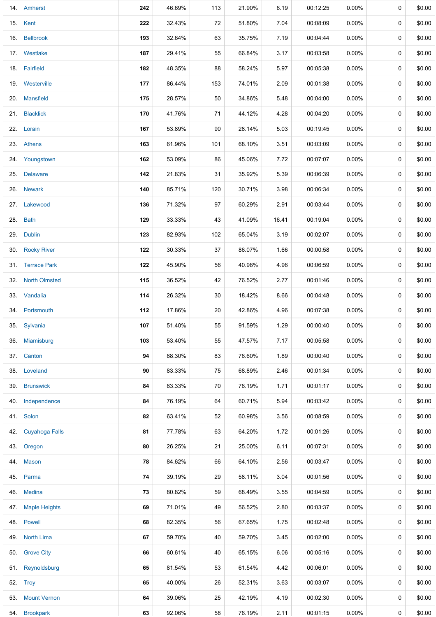| 14. Amherst        | 242 | 46.69% | 113 | 21.90% | 6.19  | 00:12:25 | $0.00\%$ | 0           | \$0.00 |
|--------------------|-----|--------|-----|--------|-------|----------|----------|-------------|--------|
| 15. Kent           | 222 | 32.43% | 72  | 51.80% | 7.04  | 00:08:09 | $0.00\%$ | 0           | \$0.00 |
| 16. Bellbrook      | 193 | 32.64% | 63  | 35.75% | 7.19  | 00:04:44 | $0.00\%$ | 0           | \$0.00 |
| 17. Westlake       | 187 | 29.41% | 55  | 66.84% | 3.17  | 00:03:58 | 0.00%    | 0           | \$0.00 |
| 18. Fairfield      | 182 | 48.35% | 88  | 58.24% | 5.97  | 00:05:38 | $0.00\%$ | 0           | \$0.00 |
| 19. Westerville    | 177 | 86.44% | 153 | 74.01% | 2.09  | 00:01:38 | $0.00\%$ | 0           | \$0.00 |
| 20. Mansfield      | 175 | 28.57% | 50  | 34.86% | 5.48  | 00:04:00 | $0.00\%$ | 0           | \$0.00 |
| 21. Blacklick      | 170 | 41.76% | 71  | 44.12% | 4.28  | 00:04:20 | $0.00\%$ | 0           | \$0.00 |
| 22. Lorain         | 167 | 53.89% | 90  | 28.14% | 5.03  | 00:19:45 | 0.00%    | 0           | \$0.00 |
| 23. Athens         | 163 | 61.96% | 101 | 68.10% | 3.51  | 00:03:09 | $0.00\%$ | 0           | \$0.00 |
| 24. Youngstown     | 162 | 53.09% | 86  | 45.06% | 7.72  | 00:07:07 | $0.00\%$ | 0           | \$0.00 |
| 25. Delaware       | 142 | 21.83% | 31  | 35.92% | 5.39  | 00:06:39 | $0.00\%$ | 0           | \$0.00 |
| 26. Newark         | 140 | 85.71% | 120 | 30.71% | 3.98  | 00:06:34 | $0.00\%$ | 0           | \$0.00 |
| 27. Lakewood       | 136 | 71.32% | 97  | 60.29% | 2.91  | 00:03:44 | $0.00\%$ | 0           | \$0.00 |
| 28. Bath           | 129 | 33.33% | 43  | 41.09% | 16.41 | 00:19:04 | $0.00\%$ | 0           | \$0.00 |
| 29. Dublin         | 123 | 82.93% | 102 | 65.04% | 3.19  | 00:02:07 | $0.00\%$ | 0           | \$0.00 |
| 30. Rocky River    | 122 | 30.33% | 37  | 86.07% | 1.66  | 00:00:58 | $0.00\%$ | 0           | \$0.00 |
| 31. Terrace Park   | 122 | 45.90% | 56  | 40.98% | 4.96  | 00:06:59 | $0.00\%$ | 0           | \$0.00 |
| 32. North Olmsted  | 115 | 36.52% | 42  | 76.52% | 2.77  | 00:01:46 | $0.00\%$ | 0           | \$0.00 |
| 33. Vandalia       | 114 | 26.32% | 30  | 18.42% | 8.66  | 00:04:48 | $0.00\%$ | 0           | \$0.00 |
| 34. Portsmouth     | 112 | 17.86% | 20  | 42.86% | 4.96  | 00:07:38 | $0.00\%$ | 0           | \$0.00 |
| 35. Sylvania       | 107 | 51.40% | 55  | 91.59% | 1.29  | 00:00:40 | $0.00\%$ | 0           | \$0.00 |
| 36. Miamisburg     | 103 | 53.40% | 55  | 47.57% | 7.17  | 00:05:58 | $0.00\%$ | $\mathbf 0$ | \$0.00 |
| 37. Canton         | 94  | 88.30% | 83  | 76.60% | 1.89  | 00:00:40 | $0.00\%$ | 0           | \$0.00 |
| 38. Loveland       | 90  | 83.33% | 75  | 68.89% | 2.46  | 00:01:34 | $0.00\%$ | 0           | \$0.00 |
| 39. Brunswick      | 84  | 83.33% | 70  | 76.19% | 1.71  | 00:01:17 | $0.00\%$ | 0           | \$0.00 |
| 40. Independence   | 84  | 76.19% | 64  | 60.71% | 5.94  | 00:03:42 | $0.00\%$ | 0           | \$0.00 |
| 41. Solon          | 82  | 63.41% | 52  | 60.98% | 3.56  | 00:08:59 | $0.00\%$ | 0           | \$0.00 |
| 42. Cuyahoga Falls | 81  | 77.78% | 63  | 64.20% | 1.72  | 00:01:26 | $0.00\%$ | 0           | \$0.00 |
| 43. Oregon         | 80  | 26.25% | 21  | 25.00% | 6.11  | 00:07:31 | $0.00\%$ | 0           | \$0.00 |
| 44. Mason          | 78  | 84.62% | 66  | 64.10% | 2.56  | 00:03:47 | $0.00\%$ | 0           | \$0.00 |
| 45. Parma          | 74  | 39.19% | 29  | 58.11% | 3.04  | 00:01:56 | $0.00\%$ | $\mathbf 0$ | \$0.00 |
| 46. Medina         | 73  | 80.82% | 59  | 68.49% | 3.55  | 00:04:59 | $0.00\%$ | 0           | \$0.00 |
| 47. Maple Heights  | 69  | 71.01% | 49  | 56.52% | 2.80  | 00:03:37 | $0.00\%$ | 0           | \$0.00 |
| 48. Powell         | 68  | 82.35% | 56  | 67.65% | 1.75  | 00:02:48 | $0.00\%$ | 0           | \$0.00 |
| 49. North Lima     | 67  | 59.70% | 40  | 59.70% | 3.45  | 00:02:00 | $0.00\%$ | 0           | \$0.00 |
| 50. Grove City     | 66  | 60.61% | 40  | 65.15% | 6.06  | 00:05:16 | $0.00\%$ | 0           | \$0.00 |
| 51. Reynoldsburg   | 65  | 81.54% | 53  | 61.54% | 4.42  | 00:06:01 | $0.00\%$ | 0           | \$0.00 |
| 52. Troy           | 65  | 40.00% | 26  | 52.31% | 3.63  | 00:03:07 | $0.00\%$ | 0           | \$0.00 |
| 53. Mount Vernon   | 64  | 39.06% | 25  | 42.19% | 4.19  | 00:02:30 | $0.00\%$ | 0           | \$0.00 |
| 54. Brookpark      | 63  | 92.06% | 58  | 76.19% | 2.11  | 00:01:15 | $0.00\%$ | 0           | \$0.00 |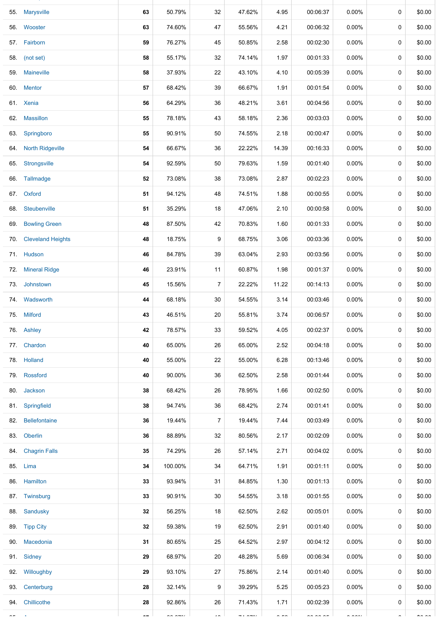|     | 55. Marysville          | 63  | 50.79%        | 32             | 47.62%                      | 4.95       | 00:06:37             | 0.00%        | $\mathbf 0$ | \$0.00        |
|-----|-------------------------|-----|---------------|----------------|-----------------------------|------------|----------------------|--------------|-------------|---------------|
|     | 56. Wooster             | 63  | 74.60%        | 47             | 55.56%                      | 4.21       | 00:06:32             | $0.00\%$     | 0           | \$0.00        |
|     | 57. Fairborn            | 59  | 76.27%        | 45             | 50.85%                      | 2.58       | 00:02:30             | $0.00\%$     | $\mathbf 0$ | \$0.00        |
|     | 58. (not set)           | 58  | 55.17%        | 32             | 74.14%                      | 1.97       | 00:01:33             | $0.00\%$     | 0           | \$0.00        |
|     | 59. Maineville          | 58  | 37.93%        | 22             | 43.10%                      | 4.10       | 00:05:39             | $0.00\%$     | $\mathbf 0$ | \$0.00        |
|     | 60. Mentor              | 57  | 68.42%        | 39             | 66.67%                      | 1.91       | 00:01:54             | 0.00%        | 0           | \$0.00        |
|     | 61. Xenia               | 56  | 64.29%        | 36             | 48.21%                      | 3.61       | 00:04:56             | 0.00%        | 0           | \$0.00        |
|     | 62. Massillon           | 55  | 78.18%        | 43             | 58.18%                      | 2.36       | 00:03:03             | $0.00\%$     | 0           | \$0.00        |
|     | 63. Springboro          | 55  | 90.91%        | 50             | 74.55%                      | 2.18       | 00:00:47             | $0.00\%$     | 0           | \$0.00        |
| 64. | <b>North Ridgeville</b> | 54  | 66.67%        | 36             | 22.22%                      | 14.39      | 00:16:33             | $0.00\%$     | 0           | \$0.00        |
| 65. | Strongsville            | 54  | 92.59%        | 50             | 79.63%                      | 1.59       | 00:01:40             | $0.00\%$     | 0           | \$0.00        |
|     | 66. Tallmadge           | 52  | 73.08%        | 38             | 73.08%                      | 2.87       | 00:02:23             | $0.00\%$     | $\mathbf 0$ | \$0.00        |
|     | 67. Oxford              | 51  | 94.12%        | 48             | 74.51%                      | 1.88       | 00:00:55             | $0.00\%$     | 0           | \$0.00        |
| 68. | Steubenville            | 51  | 35.29%        | 18             | 47.06%                      | 2.10       | 00:00:58             | $0.00\%$     | 0           | \$0.00        |
| 69. | <b>Bowling Green</b>    | 48  | 87.50%        | 42             | 70.83%                      | 1.60       | 00:01:33             | 0.00%        | 0           | \$0.00        |
|     | 70. Cleveland Heights   | 48  | 18.75%        | 9              | 68.75%                      | 3.06       | 00:03:36             | $0.00\%$     | 0           | \$0.00        |
|     | 71. Hudson              | 46  | 84.78%        | 39             | 63.04%                      | 2.93       | 00:03:56             | $0.00\%$     | 0           | \$0.00        |
| 72. | <b>Mineral Ridge</b>    | 46  | 23.91%        | 11             | 60.87%                      | 1.98       | 00:01:37             | $0.00\%$     | 0           | \$0.00        |
|     | 73. Johnstown           | 45  | 15.56%        | $\overline{7}$ | 22.22%                      | 11.22      | 00:14:13             | 0.00%        | $\mathbf 0$ | \$0.00        |
|     | 74. Wadsworth           | 44  | 68.18%        | 30             | 54.55%                      | 3.14       | 00:03:46             | $0.00\%$     | 0           | \$0.00        |
|     | 75. Milford             | 43  | 46.51%        | 20             | 55.81%                      | 3.74       | 00:06:57             | $0.00\%$     | 0           | \$0.00        |
|     | 76. Ashley              | 42  | 78.57%        | 33             | 59.52%                      | 4.05       | 00:02:37             | 0.00%        | 0           | \$0.00        |
|     | 77. Chardon             | 40  | 65.00%        | 26             | 65.00%                      | 2.52       | 00:04:18             | $0.00\%$     | 0           | \$0.00        |
|     | 78. Holland             | 40  | 55.00%        | 22             | 55.00%                      | 6.28       | 00:13:46             | $0.00\%$     | $\mathbf 0$ | \$0.00        |
|     | 79. Rossford            | 40  | 90.00%        | 36             | 62.50%                      | 2.58       | 00:01:44             | $0.00\%$     | 0           | \$0.00        |
|     | 80. Jackson             | 38  | 68.42%        | 26             | 78.95%                      | 1.66       | 00:02:50             | $0.00\%$     | 0           | \$0.00        |
|     | 81. Springfield         | 38  | 94.74%        | 36             | 68.42%                      | 2.74       | 00:01:41             | 0.00%        | 0           | \$0.00        |
|     | 82. Bellefontaine       | 36  | 19.44%        | 7              | 19.44%                      | 7.44       | 00:03:49             | $0.00\%$     | $\mathbf 0$ | \$0.00        |
|     | 83. Oberlin             | 36  | 88.89%        | 32             | 80.56%                      | 2.17       | 00:02:09             | $0.00\%$     | 0           | \$0.00        |
|     | 84. Chagrin Falls       | 35  | 74.29%        | 26             | 57.14%                      | 2.71       | 00:04:02             | $0.00\%$     | 0           | \$0.00        |
|     | 85. Lima                | 34  | 100.00%       | 34             | 64.71%                      | 1.91       | 00:01:11             | $0.00\%$     | 0           | \$0.00        |
|     | 86. Hamilton            | 33  | 93.94%        | 31             | 84.85%                      | 1.30       | 00:01:13             | $0.00\%$     | 0           | \$0.00        |
|     | 87. Twinsburg           | 33  | 90.91%        | 30             | 54.55%                      | 3.18       | 00:01:55             | $0.00\%$     | 0           | \$0.00        |
|     | 88. Sandusky            | 32  | 56.25%        | 18             | 62.50%                      | 2.62       | 00:05:01             | $0.00\%$     | 0           | \$0.00        |
|     | 89. Tipp City           | 32  | 59.38%        | 19             | 62.50%                      | 2.91       | 00:01:40             | $0.00\%$     | 0           | \$0.00        |
|     | 90. Macedonia           | 31  | 80.65%        | 25             | 64.52%                      | 2.97       | 00:04:12             | $0.00\%$     | 0           | \$0.00        |
|     | 91. Sidney              | 29  | 68.97%        | 20             | 48.28%                      | 5.69       | 00:06:34             | $0.00\%$     | 0           | \$0.00        |
|     | 92. Willoughby          | 29  | 93.10%        | 27             | 75.86%                      | 2.14       | 00:01:40             | $0.00\%$     | 0           | \$0.00        |
|     | 93. Centerburg          | 28  | 32.14%        | 9              | 39.29%                      | 5.25       | 00:05:23             | 0.00%        | 0           | \$0.00        |
|     | 94. Chillicothe         | 28  | 92.86%        | 26             | 71.43%                      | 1.71       | 00:02:39             | $0.00\%$     | 0           | \$0.00        |
|     |                         | $-$ | $\sim$ $\sim$ |                | $\frac{1}{2}$ $\frac{1}{2}$ | $\sim$ $-$ | $\sim$ $\sim$ $\sim$ | $\sim$ 0.000 |             | $\sim$ $\sim$ |

54. Brookpark **63** 92.06% 58 76.19% 2.11 00:01:15 0.00% 0 \$0.00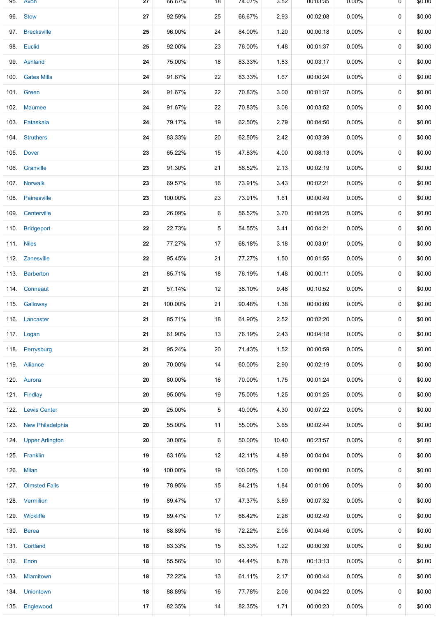| 95. Avon              | 27 | 66.67%  | 18 | 74.07%  | 3.52  | 00:03:35 | $0.00\%$ | 0 | \$0.00 |
|-----------------------|----|---------|----|---------|-------|----------|----------|---|--------|
| 96. Stow              | 27 | 92.59%  | 25 | 66.67%  | 2.93  | 00:02:08 | $0.00\%$ | 0 | \$0.00 |
| 97. Brecksville       | 25 | 96.00%  | 24 | 84.00%  | 1.20  | 00:00:18 | $0.00\%$ | 0 | \$0.00 |
| 98. Euclid            | 25 | 92.00%  | 23 | 76.00%  | 1.48  | 00:01:37 | $0.00\%$ | 0 | \$0.00 |
| 99. Ashland           | 24 | 75.00%  | 18 | 83.33%  | 1.83  | 00:03:17 | 0.00%    | 0 | \$0.00 |
| 100. Gates Mills      | 24 | 91.67%  | 22 | 83.33%  | 1.67  | 00:00:24 | $0.00\%$ | 0 | \$0.00 |
| 101. Green            | 24 | 91.67%  | 22 | 70.83%  | 3.00  | 00:01:37 | $0.00\%$ | 0 | \$0.00 |
| 102. Maumee           | 24 | 91.67%  | 22 | 70.83%  | 3.08  | 00:03:52 | $0.00\%$ | 0 | \$0.00 |
| 103. Pataskala        | 24 | 79.17%  | 19 | 62.50%  | 2.79  | 00:04:50 | $0.00\%$ | 0 | \$0.00 |
| 104. Struthers        | 24 | 83.33%  | 20 | 62.50%  | 2.42  | 00:03:39 | $0.00\%$ | 0 | \$0.00 |
| 105. Dover            | 23 | 65.22%  | 15 | 47.83%  | 4.00  | 00:08:13 | $0.00\%$ | 0 | \$0.00 |
| 106. Granville        | 23 | 91.30%  | 21 | 56.52%  | 2.13  | 00:02:19 | $0.00\%$ | 0 | \$0.00 |
| 107. Norwalk          | 23 | 69.57%  | 16 | 73.91%  | 3.43  | 00:02:21 | $0.00\%$ | 0 | \$0.00 |
| 108. Painesville      | 23 | 100.00% | 23 | 73.91%  | 1.61  | 00:00:49 | 0.00%    | 0 | \$0.00 |
| 109 Centerville       | 23 | 26.09%  | 6  | 56.52%  | 3.70  | 00:08:25 | $0.00\%$ | 0 | \$0.00 |
| 110. Bridgeport       | 22 | 22.73%  | 5  | 54.55%  | 3.41  | 00:04:21 | 0.00%    | 0 | \$0.00 |
| 111. Niles            | 22 | 77.27%  | 17 | 68.18%  | 3.18  | 00:03:01 | $0.00\%$ | 0 | \$0.00 |
| 112. Zanesville       | 22 | 95.45%  | 21 | 77.27%  | 1.50  | 00:01:55 | $0.00\%$ | 0 | \$0.00 |
| 113. Barberton        | 21 | 85.71%  | 18 | 76.19%  | 1.48  | 00:00:11 | $0.00\%$ | 0 | \$0.00 |
| 114 Conneaut          | 21 | 57.14%  | 12 | 38.10%  | 9.48  | 00:10:52 | $0.00\%$ | 0 | \$0.00 |
| 115. Galloway         | 21 | 100.00% | 21 | 90.48%  | 1.38  | 00:00:09 | $0.00\%$ | 0 | \$0.00 |
| 116. Lancaster        | 21 | 85.71%  | 18 | 61.90%  | 2.52  | 00:02:20 | 0.00%    | 0 | \$0.00 |
| 117. Logan            | 21 | 61.90%  | 13 | 76.19%  | 2.43  | 00:04:18 | 0.00%    | 0 | \$0.00 |
| 118. Perrysburg       | 21 | 95.24%  | 20 | 71.43%  | 1.52  | 00:00:59 | 0.00%    | 0 | \$0.00 |
| 119 Alliance          | 20 | 70.00%  | 14 | 60.00%  | 2.90  | 00:02:19 | 0.00%    | 0 | \$0.00 |
| 120. Aurora           | 20 | 80.00%  | 16 | 70.00%  | 1.75  | 00:01:24 | $0.00\%$ | 0 | \$0.00 |
| 121. Findlay          | 20 | 95.00%  | 19 | 75.00%  | 1.25  | 00:01:25 | $0.00\%$ | 0 | \$0.00 |
| 122. Lewis Center     | 20 | 25.00%  | 5  | 40.00%  | 4.30  | 00:07:22 | $0.00\%$ | 0 | \$0.00 |
| 123. New Philadelphia | 20 | 55.00%  | 11 | 55.00%  | 3.65  | 00:02:44 | $0.00\%$ | 0 | \$0.00 |
| 124. Upper Arlington  | 20 | 30.00%  | 6  | 50.00%  | 10.40 | 00:23:57 | $0.00\%$ | 0 | \$0.00 |
| 125. Franklin         | 19 | 63.16%  | 12 | 42.11%  | 4.89  | 00:04:04 | $0.00\%$ | 0 | \$0.00 |
| 126. Milan            | 19 | 100.00% | 19 | 100.00% | 1.00  | 00:00:00 | $0.00\%$ | 0 | \$0.00 |
| 127. Olmsted Falls    | 19 | 78.95%  | 15 | 84.21%  | 1.84  | 00:01:06 | 0.00%    | 0 | \$0.00 |
| 128. Vermilion        | 19 | 89.47%  | 17 | 47.37%  | 3.89  | 00:07:32 | $0.00\%$ | 0 | \$0.00 |
| 129. Wickliffe        | 19 | 89.47%  | 17 | 68.42%  | 2.26  | 00:02:49 | $0.00\%$ | 0 | \$0.00 |
| 130. Berea            | 18 | 88.89%  | 16 | 72.22%  | 2.06  | 00:04:46 | $0.00\%$ | 0 | \$0.00 |
| 131. Cortland         | 18 | 83.33%  | 15 | 83.33%  | 1.22  | 00:00:39 | $0.00\%$ | 0 | \$0.00 |
| 132. Enon             | 18 | 55.56%  | 10 | 44.44%  | 8.78  | 00:13:13 | $0.00\%$ | 0 | \$0.00 |
| 133 Miamitown         | 18 | 72.22%  | 13 | 61.11%  | 2.17  | 00:00:44 | $0.00\%$ | 0 | \$0.00 |
| 134. Uniontown        | 18 | 88.89%  | 16 | 77.78%  | 2.06  | 00:04:22 | 0.00%    | 0 | \$0.00 |
| 135. Englewood        | 17 | 82.35%  | 14 | 82.35%  | 1.71  | 00:00:23 | 0.00%    | 0 | \$0.00 |
|                       |    |         |    |         |       |          |          |   |        |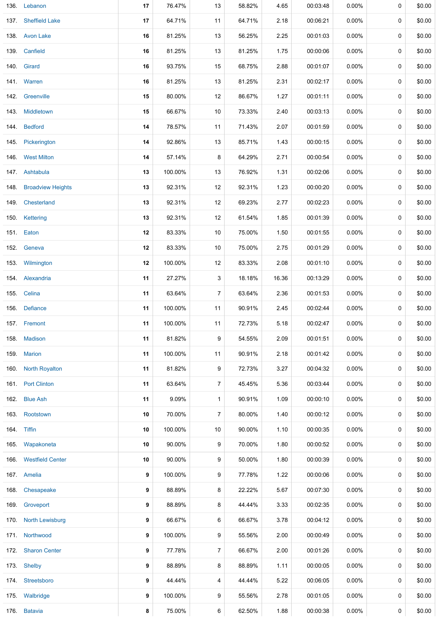|      | 136. Lebanon           | 17 | 76.47%  | 13             | 58.82% | 4.65  | 00:03:48 | $0.00\%$ | 0 | \$0.00 |
|------|------------------------|----|---------|----------------|--------|-------|----------|----------|---|--------|
|      | 137. Sheffield Lake    | 17 | 64.71%  | 11             | 64.71% | 2.18  | 00:06:21 | 0.00%    | 0 | \$0.00 |
|      | 138 Avon Lake          | 16 | 81.25%  | 13             | 56.25% | 2.25  | 00:01:03 | 0.00%    | 0 | \$0.00 |
|      | 139. Canfield          | 16 | 81.25%  | 13             | 81.25% | 1.75  | 00:00:06 | $0.00\%$ | 0 | \$0.00 |
|      | 140. Girard            | 16 | 93.75%  | 15             | 68.75% | 2.88  | 00:01:07 | $0.00\%$ | 0 | \$0.00 |
|      | 141 Warren             | 16 | 81.25%  | 13             | 81.25% | 2.31  | 00:02:17 | $0.00\%$ | 0 | \$0.00 |
|      | 142. Greenville        | 15 | 80.00%  | 12             | 86.67% | 1.27  | 00:01:11 | $0.00\%$ | 0 | \$0.00 |
|      | 143 Middletown         | 15 | 66.67%  | 10             | 73.33% | 2.40  | 00:03:13 | $0.00\%$ | 0 | \$0.00 |
|      | 144. Bedford           | 14 | 78.57%  | 11             | 71.43% | 2.07  | 00:01:59 | $0.00\%$ | 0 | \$0.00 |
|      | 145. Pickerington      | 14 | 92.86%  | 13             | 85.71% | 1.43  | 00:00:15 | $0.00\%$ | 0 | \$0.00 |
|      | 146 West Milton        | 14 | 57.14%  | 8              | 64.29% | 2.71  | 00:00:54 | $0.00\%$ | 0 | \$0.00 |
|      | 147 Ashtabula          | 13 | 100.00% | 13             | 76.92% | 1.31  | 00:02:06 | $0.00\%$ | 0 | \$0.00 |
|      | 148. Broadview Heights | 13 | 92.31%  | 12             | 92.31% | 1.23  | 00:00:20 | 0.00%    | 0 | \$0.00 |
|      | 149 Chesterland        | 13 | 92.31%  | 12             | 69.23% | 2.77  | 00:02:23 | $0.00\%$ | 0 | \$0.00 |
|      | 150. Kettering         | 13 | 92.31%  | 12             | 61.54% | 1.85  | 00:01:39 | $0.00\%$ | 0 | \$0.00 |
|      | 151. Eaton             | 12 | 83.33%  | 10             | 75.00% | 1.50  | 00:01:55 | $0.00\%$ | 0 | \$0.00 |
|      | 152. Geneva            | 12 | 83.33%  | 10             | 75.00% | 2.75  | 00:01:29 | $0.00\%$ | 0 | \$0.00 |
|      | 153 Wilmington         | 12 | 100.00% | 12             | 83.33% | 2.08  | 00:01:10 | $0.00\%$ | 0 | \$0.00 |
|      | 154 Alexandria         | 11 | 27.27%  | 3              | 18.18% | 16.36 | 00:13:29 | $0.00\%$ | 0 | \$0.00 |
|      | 155. Celina            | 11 | 63.64%  | 7              | 63.64% | 2.36  | 00:01:53 | $0.00\%$ | 0 | \$0.00 |
|      | 156. Defiance          | 11 | 100.00% | 11             | 90.91% | 2.45  | 00:02:44 | 0.00%    | 0 | \$0.00 |
|      | 157. Fremont           | 11 | 100.00% | 11             | 72.73% | 5.18  | 00:02:47 | $0.00\%$ | 0 | \$0.00 |
|      | 158. Madison           | 11 | 81.82%  | 9              | 54.55% | 2.09  | 00:01:51 | $0.00\%$ | 0 | \$0.00 |
| 159. | <b>Marion</b>          | 11 | 100.00% | 11             | 90.91% | 2.18  | 00:01:42 | $0.00\%$ | 0 | \$0.00 |
| 160. | <b>North Royalton</b>  | 11 | 81.82%  | 9              | 72.73% | 3.27  | 00:04:32 | $0.00\%$ | 0 | \$0.00 |
|      | 161 Port Clinton       | 11 | 63.64%  | $\overline{7}$ | 45.45% | 5.36  | 00:03:44 | 0.00%    | 0 | \$0.00 |
|      | 162. Blue Ash          | 11 | 9.09%   | 1              | 90.91% | 1.09  | 00:00:10 | $0.00\%$ | 0 | \$0.00 |
|      | 163 Rootstown          | 10 | 70.00%  | $\overline{7}$ | 80.00% | 1.40  | 00:00:12 | 0.00%    | 0 | \$0.00 |
|      | 164. Tiffin            | 10 | 100.00% | 10             | 90.00% | 1.10  | 00:00:35 | $0.00\%$ | 0 | \$0.00 |
|      | 165. Wapakoneta        | 10 | 90.00%  | 9              | 70.00% | 1.80  | 00:00:52 | $0.00\%$ | 0 | \$0.00 |
|      | 166. Westfield Center  | 10 | 90.00%  | 9              | 50.00% | 1.80  | 00:00:39 | $0.00\%$ | 0 | \$0.00 |
|      | 167. Amelia            | 9  | 100.00% | 9              | 77.78% | 1.22  | 00:00:06 | $0.00\%$ | 0 | \$0.00 |
|      | 168. Chesapeake        | 9  | 88.89%  | 8              | 22.22% | 5.67  | 00:07:30 | $0.00\%$ | 0 | \$0.00 |
|      | 169. Groveport         | 9  | 88.89%  | 8              | 44.44% | 3.33  | 00:02:35 | $0.00\%$ | 0 | \$0.00 |
|      | 170. North Lewisburg   | 9  | 66.67%  | 6              | 66.67% | 3.78  | 00:04:12 | $0.00\%$ | 0 | \$0.00 |
|      | 171. Northwood         | 9  | 100.00% | 9              | 55.56% | 2.00  | 00:00:49 | $0.00\%$ | 0 | \$0.00 |
|      | 172. Sharon Center     | 9  | 77.78%  | 7              | 66.67% | 2.00  | 00:01:26 | $0.00\%$ | 0 | \$0.00 |
|      | 173. Shelby            | 9  | 88.89%  | 8              | 88.89% | 1.11  | 00:00:05 | $0.00\%$ | 0 | \$0.00 |
|      | 174 Streetsboro        | 9  | 44.44%  | 4              | 44.44% | 5.22  | 00:06:05 | $0.00\%$ | 0 | \$0.00 |
|      | 175. Walbridge         | 9  | 100.00% | 9              | 55.56% | 2.78  | 00:01:05 | $0.00\%$ | 0 | \$0.00 |
|      | 176. Batavia           | 8  | 75.00%  | 6              | 62.50% | 1.88  | 00:00:38 | $0.00\%$ | 0 | \$0.00 |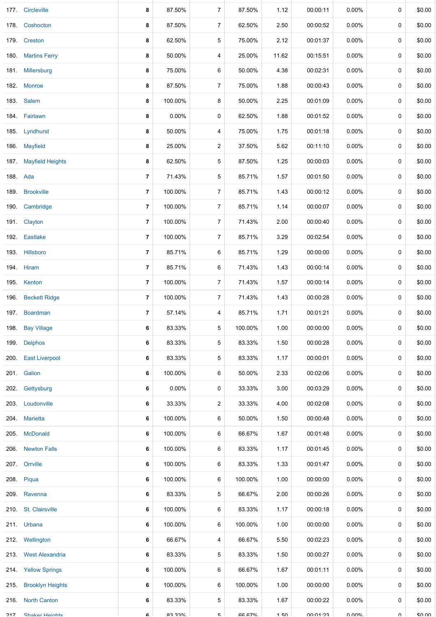|          | 177 Circleville         | 8              | 87.50%         | 7              | 87.50%        | 1.12  | 00:00:11 | $0.00\%$     | 0           | \$0.00       |
|----------|-------------------------|----------------|----------------|----------------|---------------|-------|----------|--------------|-------------|--------------|
|          | 178. Coshocton          | 8              | 87.50%         | 7              | 62.50%        | 2.50  | 00:00:52 | $0.00\%$     | 0           | \$0.00       |
|          | 179 Creston             | 8              | 62.50%         | 5              | 75.00%        | 2.12  | 00:01:37 | 0.00%        | 0           | \$0.00       |
| 180.     | <b>Martins Ferry</b>    | 8              | 50.00%         | 4              | 25.00%        | 11.62 | 00:15:51 | $0.00\%$     | 0           | \$0.00       |
|          | 181. Millersburg        | 8              | 75.00%         | 6              | 50.00%        | 4.38  | 00:02:31 | $0.00\%$     | 0           | \$0.00       |
|          | 182. Monroe             | 8              | 87.50%         | 7              | 75.00%        | 1.88  | 00:00:43 | 0.00%        | 0           | \$0.00       |
|          | 183. Salem              | 8              | 100.00%        | 8              | 50.00%        | 2.25  | 00:01:09 | $0.00\%$     | 0           | \$0.00       |
|          | 184. Fairlawn           | 8              | 0.00%          | 0              | 62.50%        | 1.88  | 00:01:52 | $0.00\%$     | 0           | \$0.00       |
|          | 185. Lyndhurst          | 8              | 50.00%         | 4              | 75.00%        | 1.75  | 00:01:18 | $0.00\%$     | 0           | \$0.00       |
|          | 186 Mayfield            | 8              | 25.00%         | 2              | 37.50%        | 5.62  | 00:11:10 | $0.00\%$     | 0           | \$0.00       |
|          | 187. Mayfield Heights   | 8              | 62.50%         | 5              | 87.50%        | 1.25  | 00:00:03 | $0.00\%$     | 0           | \$0.00       |
| 188. Ada |                         | 7              | 71.43%         | 5              | 85.71%        | 1.57  | 00:01:50 | 0.00%        | 0           | \$0.00       |
|          | 189. Brookville         | 7              | 100.00%        | 7              | 85.71%        | 1.43  | 00:00:12 | 0.00%        | 0           | \$0.00       |
|          | 190. Cambridge          | 7              | 100.00%        | $\overline{7}$ | 85.71%        | 1.14  | 00:00:07 | $0.00\%$     | 0           | \$0.00       |
|          | 191. Clayton            | 7              | 100.00%        | $\overline{7}$ | 71.43%        | 2.00  | 00:00:40 | 0.00%        | 0           | \$0.00       |
|          | 192. Eastlake           | 7              | 100.00%        | 7              | 85.71%        | 3.29  | 00:02:54 | $0.00\%$     | 0           | \$0.00       |
|          | 193. Hillsboro          | 7              | 85.71%         | 6              | 85.71%        | 1.29  | 00:00:00 | 0.00%        | 0           | \$0.00       |
|          | 194. Hiram              | $\overline{7}$ | 85.71%         | 6              | 71.43%        | 1.43  | 00:00:14 | $0.00\%$     | 0           | \$0.00       |
| 195.     | Kenton                  | 7              | 100.00%        | 7              | 71.43%        | 1.57  | 00:00:14 | $0.00\%$     | 0           | \$0.00       |
| 196.     | <b>Beckett Ridge</b>    | 7              | 100.00%        | 7              | 71.43%        | 1.43  | 00:00:28 | $0.00\%$     | 0           | \$0.00       |
| 197.     | Boardman                | 7              | 57.14%         | 4              | 85.71%        | 1.71  | 00:01:21 | $0.00\%$     | 0           | \$0.00       |
| 198.     | <b>Bay Village</b>      | 6              | 83.33%         | 5              | 100.00%       | 1.00  | 00:00:00 | $0.00\%$     | 0           | \$0.00       |
|          | 199. Delphos            | 6              | 83.33%         | 5              | 83.33%        | 1.50  | 00:00:28 | $0.00\%$     | 0           | \$0.00       |
|          | 200. East Liverpool     | 6              | 83.33%         | 5              | 83.33%        | 1.17  | 00:00:01 | $0.00\%$     | 0           | \$0.00       |
|          | 201. Galion             | 6              | 100.00%        | 6              | 50.00%        | 2.33  | 00:02:06 | 0.00%        | 0           | \$0.00       |
|          | 202. Gettysburg         | 6              | $0.00\%$       | 0              | 33.33%        | 3.00  | 00:03:29 | $0.00\%$     | 0           | \$0.00       |
| 203.     | Loudonville             | 6              | 33.33%         | 2              | 33.33%        | 4.00  | 00:02:08 | $0.00\%$     | 0           | \$0.00       |
|          | 204. Marietta           | 6              | 100.00%        | 6              | 50.00%        | 1.50  | 00:00:48 | $0.00\%$     | 0           | \$0.00       |
|          | 205. McDonald           | 6              | 100.00%        | 6              | 66.67%        | 1.67  | 00:01:48 | $0.00\%$     | 0           | \$0.00       |
|          | 206. Newton Falls       | 6              | 100.00%        | 6              | 83.33%        | 1.17  | 00:01:45 | $0.00\%$     | 0           | \$0.00       |
|          | 207. Orrville           | 6              | 100.00%        | 6              | 83.33%        | 1.33  | 00:01:47 | $0.00\%$     | 0           | \$0.00       |
|          | 208. Piqua              | 6              | 100.00%        | 6              | 100.00%       | 1.00  | 00:00:00 | $0.00\%$     | 0           | \$0.00       |
|          | 209. Ravenna            | 6              | 83.33%         | 5              | 66.67%        | 2.00  | 00:00:26 | $0.00\%$     | 0           | \$0.00       |
|          | 210. St. Clairsville    | 6              | 100.00%        | 6              | 83.33%        | 1.17  | 00:00:18 | $0.00\%$     | 0           | \$0.00       |
|          | 211. Urbana             | 6              | 100.00%        | 6              | 100.00%       | 1.00  | 00:00:00 | $0.00\%$     | 0           | \$0.00       |
|          | 212. Wellington         | 6              | 66.67%         | 4              | 66.67%        | 5.50  | 00:02:23 | $0.00\%$     | 0           | \$0.00       |
|          | 213. West Alexandria    | 6              | 83.33%         | 5              | 83.33%        | 1.50  | 00:00:27 | $0.00\%$     | 0           | \$0.00       |
|          | 214. Yellow Springs     | 6              | 100.00%        | 6              | 66.67%        | 1.67  | 00:01:11 | $0.00\%$     | 0           | \$0.00       |
| 215.     | <b>Brooklyn Heights</b> | 6              | 100.00%        | 6              | 100.00%       | 1.00  | 00:00:00 | $0.00\%$     | 0           | \$0.00       |
|          | 216. North Canton       | 6              | 83.33%         | 5              | 83.33%        | 1.67  | 00:00:22 | $0.00\%$     | $\mathbf 0$ | \$0.00       |
| 217      | <b>Shaker Heinhte</b>   | £.             | <b>83 330X</b> | Б.             | <b>66 67%</b> | 1.50  | 00.01.23 | <b>MUU U</b> | $\cap$      | <b>00.02</b> |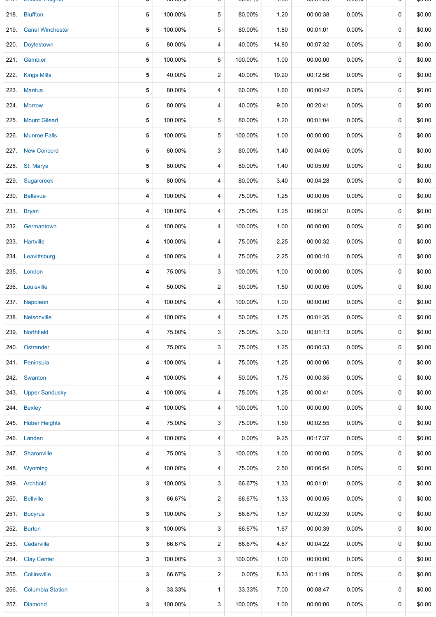|      | <b>UNIQUE INCIGATION</b> |   | 00.OU /U |   | 00.0770  | $\sim$ | 00.01.ZU | 0.0070   |             | ψυ.υυ  |
|------|--------------------------|---|----------|---|----------|--------|----------|----------|-------------|--------|
|      | 218. Bluffton            | 5 | 100.00%  | 5 | 80.00%   | 1.20   | 00:00:38 | $0.00\%$ | 0           | \$0.00 |
| 219. | <b>Canal Winchester</b>  | 5 | 100.00%  | 5 | 80.00%   | 1.80   | 00:01:01 | 0.00%    | 0           | \$0.00 |
|      | 220. Doylestown          | 5 | 80.00%   | 4 | 40.00%   | 14.80  | 00:07:32 | $0.00\%$ | 0           | \$0.00 |
|      | 221. Gambier             | 5 | 100.00%  | 5 | 100.00%  | 1.00   | 00:00:00 | 0.00%    | 0           | \$0.00 |
|      | 222. Kings Mills         | 5 | 40.00%   | 2 | 40.00%   | 19.20  | 00:12:56 | 0.00%    | 0           | \$0.00 |
|      | 223. Mantua              | 5 | 80.00%   | 4 | 60.00%   | 1.60   | 00:00:42 | 0.00%    | $\mathbf 0$ | \$0.00 |
|      | 224. Morrow              | 5 | 80.00%   | 4 | 40.00%   | 9.00   | 00:20:41 | 0.00%    | 0           | \$0.00 |
|      | 225. Mount Gilead        | 5 | 100.00%  | 5 | 80.00%   | 1.20   | 00:01:04 | 0.00%    | 0           | \$0.00 |
| 226. | <b>Munroe Falls</b>      | 5 | 100.00%  | 5 | 100.00%  | 1.00   | 00:00:00 | 0.00%    | 0           | \$0.00 |
|      | 227. New Concord         | 5 | 60.00%   | 3 | 80.00%   | 1.40   | 00:04:05 | 0.00%    | 0           | \$0.00 |
|      | 228 St. Marys            | 5 | 80.00%   | 4 | 80.00%   | 1.40   | 00:05:09 | 0.00%    | $\mathbf 0$ | \$0.00 |
|      | 229. Sugarcreek          | 5 | 80.00%   | 4 | 80.00%   | 3.40   | 00:04:28 | 0.00%    | 0           | \$0.00 |
| 230. | <b>Bellevue</b>          | 4 | 100.00%  | 4 | 75.00%   | 1.25   | 00:00:05 | 0.00%    | $\mathbf 0$ | \$0.00 |
|      | 231. Bryan               | 4 | 100.00%  | 4 | 75.00%   | 1.25   | 00:06:31 | 0.00%    | $\mathbf 0$ | \$0.00 |
|      | 232. Germantown          | 4 | 100.00%  | 4 | 100.00%  | 1.00   | 00:00:00 | 0.00%    | 0           | \$0.00 |
|      | 233. Hartville           | 4 | 100.00%  | 4 | 75.00%   | 2.25   | 00:00:32 | 0.00%    | 0           | \$0.00 |
|      | 234. Leavittsburg        | 4 | 100.00%  | 4 | 75.00%   | 2.25   | 00:00:10 | 0.00%    | 0           | \$0.00 |
|      | 235. London              | 4 | 75.00%   | 3 | 100.00%  | 1.00   | 00:00:00 | 0.00%    | 0           | \$0.00 |
|      | 236. Louisville          | 4 | 50.00%   | 2 | 50.00%   | 1.50   | 00:00:05 | 0.00%    | 0           | \$0.00 |
|      | 237 Napoleon             | 4 | 100.00%  | 4 | 100.00%  | 1.00   | 00:00:00 | 0.00%    | 0           | \$0.00 |
|      | 238. Nelsonville         | 4 | 100.00%  | 4 | 50.00%   | 1.75   | 00:01:35 | 0.00%    | 0           | \$0.00 |
| 239. | Northfield               | 4 | 75.00%   | 3 | 75.00%   | 3.00   | 00:01:13 | $0.00\%$ | 0           | \$0.00 |
|      | 240. Ostrander           | 4 | 75.00%   | 3 | 75.00%   | 1.25   | 00:00:33 | $0.00\%$ | $\mathbf 0$ | \$0.00 |
|      | 241. Peninsula           | 4 | 100.00%  | 4 | 75.00%   | 1.25   | 00:00:06 | 0.00%    | 0           | \$0.00 |
|      | 242. Swanton             | 4 | 100.00%  | 4 | 50.00%   | 1.75   | 00:00:35 | 0.00%    | 0           | \$0.00 |
|      | 243. Upper Sandusky      | 4 | 100.00%  | 4 | 75.00%   | 1.25   | 00:00:41 | $0.00\%$ | 0           | \$0.00 |
|      | 244 Bexley               | 4 | 100.00%  | 4 | 100.00%  | 1.00   | 00:00:00 | 0.00%    | 0           | \$0.00 |
|      | 245. Huber Heights       | 4 | 75.00%   | 3 | 75.00%   | 1.50   | 00:02:55 | $0.00\%$ | 0           | \$0.00 |
|      | 246. Landen              | 4 | 100.00%  | 4 | $0.00\%$ | 9.25   | 00:17:37 | $0.00\%$ | 0           | \$0.00 |
|      | 247 Sharonville          | 4 | 75.00%   | 3 | 100.00%  | 1.00   | 00:00:00 | 0.00%    | 0           | \$0.00 |
|      | 248. Wyoming             | 4 | 100.00%  | 4 | 75.00%   | 2.50   | 00:06:54 | 0.00%    | 0           | \$0.00 |
|      | 249. Archbold            | 3 | 100.00%  | 3 | 66.67%   | 1.33   | 00:01:01 | $0.00\%$ | 0           | \$0.00 |
|      | 250. Bellville           | 3 | 66.67%   | 2 | 66.67%   | 1.33   | 00:00:05 | 0.00%    | 0           | \$0.00 |
| 251. | <b>Bucyrus</b>           | 3 | 100.00%  | 3 | 66.67%   | 1.67   | 00:02:39 | $0.00\%$ | 0           | \$0.00 |
|      | 252. Burton              | 3 | 100.00%  | 3 | 66.67%   | 1.67   | 00:00:39 | $0.00\%$ | 0           | \$0.00 |
| 253. | Cedarville               | 3 | 66.67%   | 2 | 66.67%   | 4.67   | 00:04:22 | $0.00\%$ | 0           | \$0.00 |
| 254. | <b>Clay Center</b>       | 3 | 100.00%  | 3 | 100.00%  | 1.00   | 00:00:00 | $0.00\%$ | 0           | \$0.00 |
| 255. | Collinsville             | 3 | 66.67%   | 2 | $0.00\%$ | 8.33   | 00:11:09 | $0.00\%$ | 0           | \$0.00 |
| 256. | <b>Columbia Station</b>  | 3 | 33.33%   | 1 | 33.33%   | 7.00   | 00:08:47 | 0.00%    | 0           | \$0.00 |
|      | 257. Diamond             | 3 | 100.00%  | 3 | 100.00%  | 1.00   | 00:00:00 | $0.00\%$ | 0           | \$0.00 |
|      |                          |   |          |   |          |        |          |          |             |        |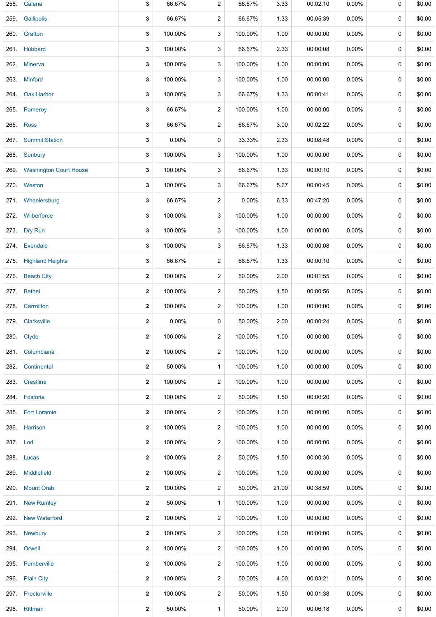| 258. | Galena                        | 3            | 66.67%  | $\overline{2}$          | 66.67%  | 3.33  | 00:02:10 | $0.00\%$ | 0 | \$0.00 |
|------|-------------------------------|--------------|---------|-------------------------|---------|-------|----------|----------|---|--------|
|      | 259 Gallipolis                | 3            | 66.67%  | 2                       | 66.67%  | 1.33  | 00:05:39 | 0.00%    | 0 | \$0.00 |
|      | 260. Grafton                  | 3            | 100.00% | 3                       | 100.00% | 1.00  | 00:00:00 | 0.00%    | 0 | \$0.00 |
|      | 261. Hubbard                  | 3            | 100.00% | 3                       | 66.67%  | 2.33  | 00:00:08 | $0.00\%$ | 0 | \$0.00 |
|      | 262. Minerva                  | 3            | 100.00% | 3                       | 100.00% | 1.00  | 00:00:00 | $0.00\%$ | 0 | \$0.00 |
|      | 263. Minford                  | 3            | 100.00% | 3                       | 100.00% | 1.00  | 00:00:00 | $0.00\%$ | 0 | \$0.00 |
|      | 264 Oak Harbor                | 3            | 100.00% | 3                       | 66.67%  | 1.33  | 00:00:41 | 0.00%    | 0 | \$0.00 |
|      | 265. Pomeroy                  | 3            | 66.67%  | $\overline{2}$          | 100.00% | 1.00  | 00:00:00 | 0.00%    | 0 | \$0.00 |
|      | 266. Ross                     | 3            | 66.67%  | 2                       | 66.67%  | 3.00  | 00:02:22 | $0.00\%$ | 0 | \$0.00 |
| 267. | <b>Summit Station</b>         | 3            | 0.00%   | 0                       | 33.33%  | 2.33  | 00:08:48 | 0.00%    | 0 | \$0.00 |
|      | 268. Sunbury                  | 3            | 100.00% | 3                       | 100.00% | 1.00  | 00:00:00 | $0.00\%$ | 0 | \$0.00 |
| 269. | <b>Washington Court House</b> | 3            | 100.00% | 3                       | 66.67%  | 1.33  | 00:00:10 | 0.00%    | 0 | \$0.00 |
|      | 270. Weston                   | 3            | 100.00% | 3                       | 66.67%  | 5.67  | 00:00:45 | $0.00\%$ | 0 | \$0.00 |
|      | 271. Wheelersburg             | 3            | 66.67%  | $\overline{\mathbf{c}}$ | 0.00%   | 6.33  | 00:47:20 | 0.00%    | 0 | \$0.00 |
|      | 272. Wilberforce              | 3            | 100.00% | 3                       | 100.00% | 1.00  | 00:00:00 | 0.00%    | 0 | \$0.00 |
|      | 273. Dry Run                  | 3            | 100.00% | 3                       | 100.00% | 1.00  | 00:00:00 | 0.00%    | 0 | \$0.00 |
|      | 274. Evendale                 | 3            | 100.00% | 3                       | 66.67%  | 1.33  | 00:00:08 | $0.00\%$ | 0 | \$0.00 |
| 275. | <b>Highland Heights</b>       | 3            | 66.67%  | 2                       | 66.67%  | 1.33  | 00:00:10 | $0.00\%$ | 0 | \$0.00 |
| 276. | <b>Beach City</b>             | $\mathbf{2}$ | 100.00% | $\overline{c}$          | 50.00%  | 2.00  | 00:01:55 | $0.00\%$ | 0 | \$0.00 |
|      | 277. Bethel                   | 2            | 100.00% | $\overline{\mathbf{c}}$ | 50.00%  | 1.50  | 00:00:56 | 0.00%    | 0 | \$0.00 |
| 278. | Carrollton                    | $\mathbf{2}$ | 100.00% | $\overline{c}$          | 100.00% | 1.00  | 00:00:00 | 0.00%    | 0 | \$0.00 |
|      | 279 Clarksville               | $\mathbf{2}$ | 0.00%   | 0                       | 50.00%  | 2.00  | 00:00:24 | $0.00\%$ | 0 | \$0.00 |
|      | 280. Clyde                    | $\mathbf{2}$ | 100.00% | 2                       | 100.00% | 1.00  | 00:00:00 | 0.00%    | 0 | \$0.00 |
|      | 281 Columbiana                | $\mathbf{2}$ | 100.00% | $\overline{\mathbf{c}}$ | 100.00% | 1.00  | 00:00:00 | $0.00\%$ | 0 | \$0.00 |
|      | 282. Continental              | 2            | 50.00%  | 1                       | 100.00% | 1.00  | 00:00:00 | $0.00\%$ | 0 | \$0.00 |
|      | 283 Crestline                 | 2            | 100.00% | 2                       | 100.00% | 1.00  | 00:00:00 | $0.00\%$ | 0 | \$0.00 |
|      | 284. Fostoria                 | 2            | 100.00% | 2                       | 50.00%  | 1.50  | 00:00:20 | $0.00\%$ | 0 | \$0.00 |
|      | 285 Fort Loramie              | $\mathbf{2}$ | 100.00% | $\overline{\mathbf{c}}$ | 100.00% | 1.00  | 00:00:00 | 0.00%    | 0 | \$0.00 |
|      | 286. Harrison                 | 2            | 100.00% | 2                       | 100.00% | 1.00  | 00:00:00 | $0.00\%$ | 0 | \$0.00 |
|      | 287. Lodi                     | 2            | 100.00% | $\overline{\mathbf{c}}$ | 100.00% | 1.00  | 00:00:00 | $0.00\%$ | 0 | \$0.00 |
|      | 288. Lucas                    | 2            | 100.00% | 2                       | 50.00%  | 1.50  | 00:00:30 | $0.00\%$ | 0 | \$0.00 |
| 289. | <b>Middlefield</b>            | 2            | 100.00% | $\overline{\mathbf{c}}$ | 100.00% | 1.00  | 00:00:00 | $0.00\%$ | 0 | \$0.00 |
|      | 290 Mount Orab                | 2            | 100.00% | $\overline{\mathbf{c}}$ | 50.00%  | 21.00 | 00:38:59 | $0.00\%$ | 0 | \$0.00 |
|      | 291. New Rumley               | 2            | 50.00%  | 1                       | 100.00% | 1.00  | 00:00:00 | $0.00\%$ | 0 | \$0.00 |
|      | 292. New Waterford            | 2            | 100.00% | 2                       | 100.00% | 1.00  | 00:00:00 | $0.00\%$ | 0 | \$0.00 |
|      | 293. Newbury                  | 2            | 100.00% | 2                       | 100.00% | 1.00  | 00:00:00 | $0.00\%$ | 0 | \$0.00 |
|      | 294. Orwell                   | 2            | 100.00% | $\overline{\mathbf{c}}$ | 100.00% | 1.00  | 00:00:00 | 0.00%    | 0 | \$0.00 |
|      | 295. Pemberville              | $\mathbf{2}$ | 100.00% | 2                       | 100.00% | 1.00  | 00:00:00 | $0.00\%$ | 0 | \$0.00 |
|      | 296. Plain City               | 2            | 100.00% | $\overline{c}$          | 50.00%  | 4.00  | 00:03:21 | $0.00\%$ | 0 | \$0.00 |
|      | 297 Proctorville              | $\mathbf{2}$ | 100.00% | 2                       | 50.00%  | 1.50  | 00:01:38 | $0.00\%$ | 0 | \$0.00 |
|      | 298. Rittman                  | $\mathbf{2}$ | 50.00%  | 1                       | 50.00%  | 2.00  | 00:06:18 | $0.00\%$ | 0 | \$0.00 |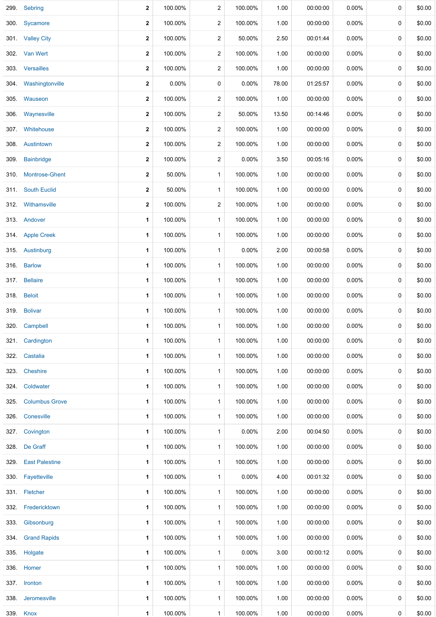|      | 299 Sebring          | $\mathbf{2}$ | 100.00% | 2              | 100.00%  | 1.00  | 00:00:00 | 0.00%    | 0 | \$0.00 |
|------|----------------------|--------------|---------|----------------|----------|-------|----------|----------|---|--------|
|      | 300 Sycamore         | $\mathbf{2}$ | 100.00% | 2              | 100.00%  | 1.00  | 00:00:00 | $0.00\%$ | 0 | \$0.00 |
|      | 301 Valley City      | $\mathbf{2}$ | 100.00% | $\overline{c}$ | 50.00%   | 2.50  | 00:01:44 | 0.00%    | 0 | \$0.00 |
|      | 302 Van Wert         | $\mathbf{2}$ | 100.00% | 2              | 100.00%  | 1.00  | 00:00:00 | $0.00\%$ | 0 | \$0.00 |
|      | 303 Versailles       | 2            | 100.00% | $\overline{c}$ | 100.00%  | 1.00  | 00:00:00 | 0.00%    | 0 | \$0.00 |
|      | 304. Washingtonville | $\mathbf{2}$ | 0.00%   | 0              | $0.00\%$ | 78.00 | 01:25:57 | 0.00%    | 0 | \$0.00 |
|      | 305 Wauseon          | $\mathbf{2}$ | 100.00% | $\overline{c}$ | 100.00%  | 1.00  | 00:00:00 | 0.00%    | 0 | \$0.00 |
|      | 306. Waynesville     | $\mathbf{2}$ | 100.00% | 2              | 50.00%   | 13.50 | 00:14:46 | 0.00%    | 0 | \$0.00 |
|      | 307 Whitehouse       | $\mathbf{2}$ | 100.00% | 2              | 100.00%  | 1.00  | 00:00:00 | $0.00\%$ | 0 | \$0.00 |
|      | 308 Austintown       | $\mathbf{2}$ | 100.00% | $\overline{c}$ | 100.00%  | 1.00  | 00:00:00 | $0.00\%$ | 0 | \$0.00 |
| 309. | <b>Bainbridge</b>    | $\mathbf{2}$ | 100.00% | 2              | $0.00\%$ | 3.50  | 00:05:16 | 0.00%    | 0 | \$0.00 |
| 310. | Montrose-Ghent       | $\mathbf{2}$ | 50.00%  | $\mathbf{1}$   | 100.00%  | 1.00  | 00:00:00 | 0.00%    | 0 | \$0.00 |
|      | 311. South Euclid    | $\mathbf{2}$ | 50.00%  | $\mathbf{1}$   | 100.00%  | 1.00  | 00:00:00 | 0.00%    | 0 | \$0.00 |
|      | 312 Withamsville     | 2            | 100.00% | $\overline{c}$ | 100.00%  | 1.00  | 00:00:00 | 0.00%    | 0 | \$0.00 |
|      | 313. Andover         | 1            | 100.00% | $\mathbf{1}$   | 100.00%  | 1.00  | 00:00:00 | 0.00%    | 0 | \$0.00 |
|      | 314. Apple Creek     | 1            | 100.00% | 1              | 100.00%  | 1.00  | 00:00:00 | 0.00%    | 0 | \$0.00 |
|      | 315 Austinburg       | 1            | 100.00% | $\mathbf{1}$   | $0.00\%$ | 2.00  | 00:00:58 | $0.00\%$ | 0 | \$0.00 |
|      | 316. Barlow          | 1            | 100.00% | $\mathbf{1}$   | 100.00%  | 1.00  | 00:00:00 | $0.00\%$ | 0 | \$0.00 |
|      | 317. Bellaire        | 1            | 100.00% | $\mathbf{1}$   | 100.00%  | 1.00  | 00:00:00 | 0.00%    | 0 | \$0.00 |
|      | 318. Beloit          | 1            | 100.00% | $\mathbf{1}$   | 100.00%  | 1.00  | 00:00:00 | $0.00\%$ | 0 | \$0.00 |
|      | 319. Bolivar         | 1            | 100.00% | $\mathbf{1}$   | 100.00%  | 1.00  | 00:00:00 | 0.00%    | 0 | \$0.00 |
|      | 320. Campbell        | 1            | 100.00% | $\mathbf{1}$   | 100.00%  | 1.00  | 00:00:00 | 0.00%    | 0 | \$0.00 |
|      | 321. Cardington      | 1            | 100.00% | $\mathbf{1}$   | 100.00%  | 1.00  | 00:00:00 | $0.00\%$ | 0 | \$0.00 |
|      | 322. Castalia        | 1            | 100.00% | $\mathbf{1}$   | 100.00%  | 1.00  | 00:00:00 | 0.00%    | 0 | \$0.00 |
|      | 323. Cheshire        | 1            | 100.00% | 1              | 100.00%  | 1.00  | 00:00:00 | 0.00%    | 0 | \$0.00 |
|      | 324. Coldwater       | 1            | 100.00% | $\mathbf{1}$   | 100.00%  | 1.00  | 00:00:00 | 0.00%    | 0 | \$0.00 |
|      | 325. Columbus Grove  | 1            | 100.00% | $\mathbf{1}$   | 100.00%  | 1.00  | 00:00:00 | 0.00%    | 0 | \$0.00 |
| 326. | Conesville           | 1            | 100.00% | $\mathbf{1}$   | 100.00%  | 1.00  | 00:00:00 | 0.00%    | 0 | \$0.00 |
|      | 327. Covington       | 1            | 100.00% | $\mathbf{1}$   | $0.00\%$ | 2.00  | 00:04:50 | $0.00\%$ | 0 | \$0.00 |
|      | 328. De Graff        | 1            | 100.00% | $\mathbf{1}$   | 100.00%  | 1.00  | 00:00:00 | 0.00%    | 0 | \$0.00 |
|      | 329. East Palestine  | 1            | 100.00% | $\mathbf{1}$   | 100.00%  | 1.00  | 00:00:00 | 0.00%    | 0 | \$0.00 |
|      | 330. Fayetteville    | 1            | 100.00% | $\mathbf{1}$   | $0.00\%$ | 4.00  | 00:01:32 | 0.00%    | 0 | \$0.00 |
|      | 331. Fletcher        | 1            | 100.00% | $\mathbf{1}$   | 100.00%  | 1.00  | 00:00:00 | 0.00%    | 0 | \$0.00 |
|      | 332. Fredericktown   | 1            | 100.00% | $\mathbf{1}$   | 100.00%  | 1.00  | 00:00:00 | 0.00%    | 0 | \$0.00 |
|      | 333. Gibsonburg      | 1            | 100.00% | $\mathbf{1}$   | 100.00%  | 1.00  | 00:00:00 | 0.00%    | 0 | \$0.00 |
|      | 334. Grand Rapids    | 1            | 100.00% | $\mathbf{1}$   | 100.00%  | 1.00  | 00:00:00 | 0.00%    | 0 | \$0.00 |
|      | 335. Holgate         | 1            | 100.00% | $\mathbf{1}$   | $0.00\%$ | 3.00  | 00:00:12 | 0.00%    | 0 | \$0.00 |
|      | 336 Homer            | 1            | 100.00% | $\mathbf{1}$   | 100.00%  | 1.00  | 00:00:00 | $0.00\%$ | 0 | \$0.00 |
|      | 337. Ironton         | 1            | 100.00% | $\mathbf{1}$   | 100.00%  | 1.00  | 00:00:00 | 0.00%    | 0 | \$0.00 |
|      | 338 Jeromesville     | 1            | 100.00% | $\mathbf{1}$   | 100.00%  | 1.00  | 00:00:00 | 0.00%    | 0 | \$0.00 |
| 339. | Knox                 | $\mathbf{1}$ | 100.00% | $\mathbf{1}$   | 100.00%  | 1.00  | 00:00:00 | 0.00%    | 0 | \$0.00 |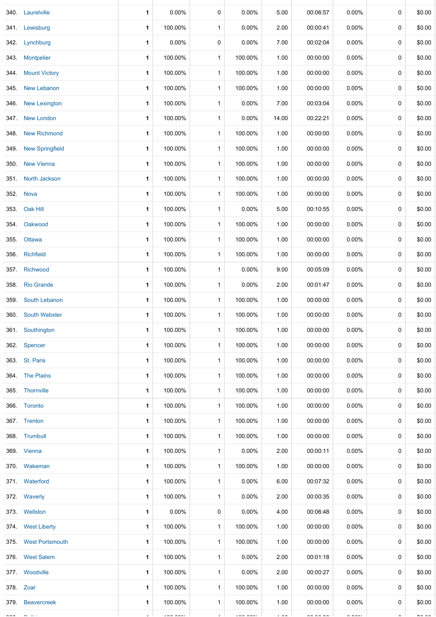|      | 340. Laurelville       | 1 | 0.00%           | 0            | 0.00%           | 5.00           | 00:06:57             | 0.00%                | 0           | \$0.00         |
|------|------------------------|---|-----------------|--------------|-----------------|----------------|----------------------|----------------------|-------------|----------------|
|      | 341. Lewisburg         | 1 | 100.00%         | $\mathbf{1}$ | 0.00%           | 2.00           | 00:00:41             | $0.00\%$             | 0           | \$0.00         |
|      | 342. Lynchburg         | 1 | 0.00%           | 0            | 0.00%           | 7.00           | 00:02:04             | $0.00\%$             | 0           | \$0.00         |
|      | 343 Montpelier         | 1 | 100.00%         | $\mathbf{1}$ | 100.00%         | 1.00           | 00:00:00             | $0.00\%$             | 0           | \$0.00         |
|      | 344. Mount Victory     | 1 | 100.00%         | $\mathbf{1}$ | 100.00%         | 1.00           | 00:00:00             | $0.00\%$             | 0           | \$0.00         |
| 345. | New Lebanon            | 1 | 100.00%         | $\mathbf{1}$ | 100.00%         | 1.00           | 00:00:00             | $0.00\%$             | 0           | \$0.00         |
|      | 346. New Lexington     | 1 | 100.00%         | $\mathbf{1}$ | 0.00%           | 7.00           | 00:03:04             | $0.00\%$             | 0           | \$0.00         |
|      | 347. New London        | 1 | 100.00%         | $\mathbf{1}$ | 0.00%           | 14.00          | 00:22:21             | 0.00%                | 0           | \$0.00         |
| 348. | <b>New Richmond</b>    | 1 | 100.00%         | $\mathbf{1}$ | 100.00%         | 1.00           | 00:00:00             | 0.00%                | 0           | \$0.00         |
| 349. | <b>New Springfield</b> | 1 | 100.00%         | $\mathbf{1}$ | 100.00%         | 1.00           | 00:00:00             | 0.00%                | 0           | \$0.00         |
|      | 350. New Vienna        | 1 | 100.00%         | $\mathbf{1}$ | 100.00%         | 1.00           | 00:00:00             | $0.00\%$             | 0           | \$0.00         |
|      | 351. North Jackson     | 1 | 100.00%         | $\mathbf{1}$ | 100.00%         | 1.00           | 00:00:00             | $0.00\%$             | 0           | \$0.00         |
|      | 352. Nova              | 1 | 100.00%         | $\mathbf{1}$ | 100.00%         | 1.00           | 00:00:00             | $0.00\%$             | 0           | \$0.00         |
|      | 353. Oak Hill          | 1 | 100.00%         | $\mathbf{1}$ | 0.00%           | 5.00           | 00:10:55             | $0.00\%$             | 0           | \$0.00         |
| 354. | Oakwood                | 1 | 100.00%         | $\mathbf{1}$ | 100.00%         | 1.00           | 00:00:00             | $0.00\%$             | 0           | \$0.00         |
|      | 355. Ottawa            | 1 | 100.00%         | $\mathbf{1}$ | 100.00%         | 1.00           | 00:00:00             | $0.00\%$             | 0           | \$0.00         |
| 356. | <b>Richfield</b>       | 1 | 100.00%         | $\mathbf{1}$ | 100.00%         | 1.00           | 00:00:00             | 0.00%                | 0           | \$0.00         |
| 357. | Richwood               | 1 | 100.00%         | $\mathbf{1}$ | 0.00%           | 9.00           | 00:05:09             | 0.00%                | 0           | \$0.00         |
|      | 358 Rio Grande         | 1 | 100.00%         | $\mathbf{1}$ | 0.00%           | 2.00           | 00:01:47             | 0.00%                | 0           | \$0.00         |
| 359. | South Lebanon          | 1 | 100.00%         | $\mathbf{1}$ | 100.00%         | 1.00           | 00:00:00             | $0.00\%$             | 0           | \$0.00         |
|      | 360. South Webster     | 1 | 100.00%         | 1            | 100.00%         | 1.00           | 00:00:00             | $0.00\%$             | 0           | \$0.00         |
|      | 361 Southington        | 1 | 100.00%         | $\mathbf{1}$ | 100.00%         | 1.00           | 00:00:00             | $0.00\%$             | 0           | \$0.00         |
|      | 362 Spencer            | 1 | 100.00%         | $\mathbf{1}$ | 100.00%         | 1.00           | 00:00:00             | $0.00\%$             | 0           | \$0.00         |
|      | 363 St. Paris          | 1 | 100.00%         | $\mathbf{1}$ | 100.00%         | 1.00           | 00:00:00             | $0.00\%$             | 0           | \$0.00         |
|      | 364 The Plains         | 1 | 100.00%         | $\mathbf{1}$ | 100.00%         | 1.00           | 00:00:00             | $0.00\%$             | 0           | \$0.00         |
|      | 365. Thornville        | 1 | 100.00%         | $\mathbf{1}$ | 100.00%         | 1.00           | 00:00:00             | $0.00\%$             | 0           | \$0.00         |
|      | 366. Toronto           | 1 | 100.00%         | $\mathbf{1}$ | 100.00%         | 1.00           | 00:00:00             | $0.00\%$             | 0           | \$0.00         |
|      | 367. Trenton           | 1 | 100.00%         | $\mathbf{1}$ | 100.00%         | 1.00           | 00:00:00             | $0.00\%$             | 0           | \$0.00         |
|      | 368. Trumbull          | 1 | 100.00%         | $\mathbf{1}$ | 100.00%         | 1.00           | 00:00:00             | $0.00\%$             | 0           | \$0.00         |
|      | 369. Vienna            | 1 | 100.00%         | 1            | 0.00%           | 2.00           | 00:00:11             | $0.00\%$             | 0           | \$0.00         |
|      | 370. Wakeman           | 1 | 100.00%         | $\mathbf{1}$ | 100.00%         | 1.00           | 00:00:00             | $0.00\%$             | 0           | \$0.00         |
|      | 371 Waterford          | 1 | 100.00%         | $\mathbf{1}$ | 0.00%           | 6.00           | 00:07:32             | $0.00\%$             | 0           | \$0.00         |
|      | 372. Waverly           | 1 | 100.00%         | $\mathbf{1}$ | $0.00\%$        | 2.00           | 00:00:35             | $0.00\%$             | 0           | \$0.00         |
|      | 373 Wellston           | 1 | $0.00\%$        | 0            | 0.00%           | 4.00           | 00:06:48             | $0.00\%$             | 0           | \$0.00         |
|      | 374 West Liberty       | 1 | 100.00%         | $\mathbf{1}$ | 100.00%         | 1.00           | 00:00:00             | $0.00\%$             | 0           | \$0.00         |
|      | 375. West Portsmouth   | 1 | 100.00%         | $\mathbf{1}$ | 100.00%         | 1.00           | 00:00:00             | $0.00\%$             | 0           | \$0.00         |
|      | 376 West Salem         | 1 | 100.00%         | $\mathbf{1}$ | 0.00%           | 2.00           | 00:01:18             | $0.00\%$             | 0           | \$0.00         |
|      | 377 Woodville          | 1 | 100.00%         | $\mathbf{1}$ | $0.00\%$        | 2.00           | 00:00:27             | $0.00\%$             | 0           | \$0.00         |
|      | 378. Zoar              | 1 | 100.00%         | $\mathbf{1}$ | 100.00%         | 1.00           | 00:00:00             | $0.00\%$             | 0           | \$0.00         |
|      | 379 Beavercreek        | 1 | 100.00%         | $\mathbf{1}$ | 100.00%         | 1.00           | 00:00:00             | $0.00\%$             | $\mathbf 0$ | \$0.00         |
|      |                        |   | $1 - 2 - 2 - 1$ |              | $1 - 2 - 2 - 1$ | $\cdot$ $\sim$ | $\sim$ $\sim$ $\sim$ | $\sim$ $\sim$ $\sim$ |             | $\overline{a}$ |